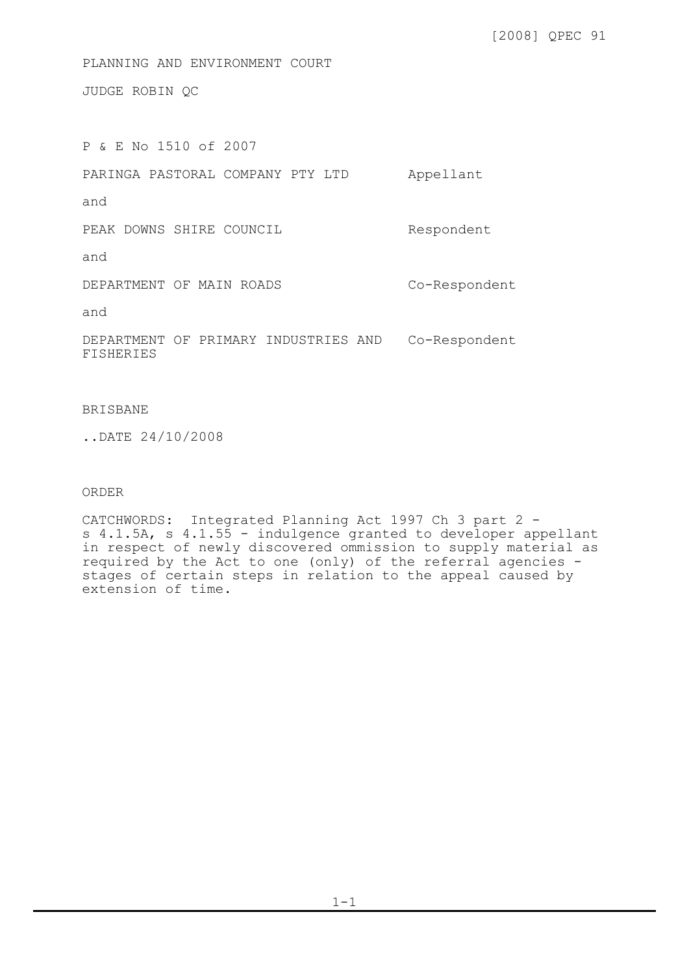[2008] QPEC 91

PLANNING AND ENVIRONMENT COURT

JUDGE ROBIN QC

P & E No 1510 of 2007 PARINGA PASTORAL COMPANY PTY LTD Appellant and PEAK DOWNS SHIRE COUNCIL and DEPARTMENT OF MAIN ROADS and DEPARTMENT OF PRIMARY INDUSTRIES AND Co-Respondent **FISHERIES** Respondent Co-Respondent

## BRISBANE

..DATE 24/10/2008

## ORDER

CATCHWORDS: Integrated Planning Act 1997 Ch 3 part 2 s 4.1.5A, s 4.1.55 - indulgence granted to developer appellant in respect of newly discovered ommission to supply material as required by the Act to one (only) of the referral agencies stages of certain steps in relation to the appeal caused by extension of time.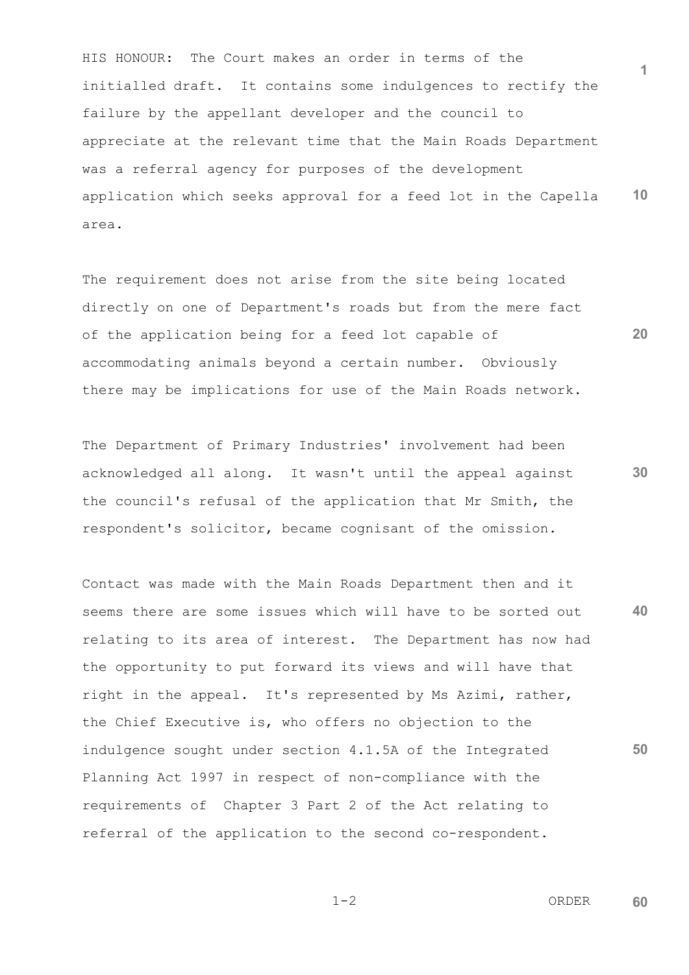**1 10** HIS HONOUR: The Court makes an order in terms of the initialled draft. It contains some indulgences to rectify the failure by the appellant developer and the council to appreciate at the relevant time that the Main Roads Department was a referral agency for purposes of the development application which seeks approval for a feed lot in the Capella area.

The requirement does not arise from the site being located directly on one of Department's roads but from the mere fact of the application being for a feed lot capable of accommodating animals beyond a certain number. Obviously there may be implications for use of the Main Roads network.

The Department of Primary Industries' involvement had been acknowledged all along. It wasn't until the appeal against the council's refusal of the application that Mr Smith, the respondent's solicitor, became cognisant of the omission.

**40 50** Contact was made with the Main Roads Department then and it seems there are some issues which will have to be sorted out relating to its area of interest. The Department has now had the opportunity to put forward its views and will have that right in the appeal. It's represented by Ms Azimi, rather, the Chief Executive is, who offers no objection to the indulgence sought under section 4.1.5A of the Integrated Planning Act 1997 in respect of non-compliance with the requirements of Chapter 3 Part 2 of the Act relating to referral of the application to the second co-respondent.

$$
1-2
$$

 $1-2$  ORDER **60**

**30**

**20**